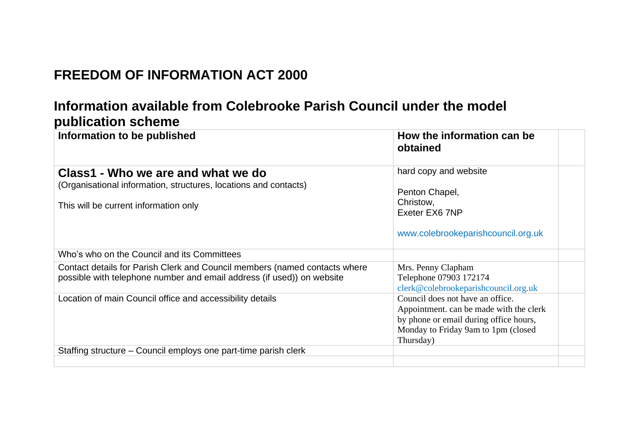## **FREEDOM OF INFORMATION ACT 2000**

## **Information available from Colebrooke Parish Council under the model publication scheme**

| Information to be published                                                                                                                          | How the information can be<br>obtained                                                                                                                                    |
|------------------------------------------------------------------------------------------------------------------------------------------------------|---------------------------------------------------------------------------------------------------------------------------------------------------------------------------|
| Class1 - Who we are and what we do<br>(Organisational information, structures, locations and contacts)<br>This will be current information only      | hard copy and website<br>Penton Chapel,<br>Christow,<br>Exeter EX6 7NP<br>www.colebrookeparishcouncil.org.uk                                                              |
| Who's who on the Council and its Committees                                                                                                          |                                                                                                                                                                           |
| Contact details for Parish Clerk and Council members (named contacts where<br>possible with telephone number and email address (if used)) on website | Mrs. Penny Clapham<br>Telephone 07903 172174<br>clerk@colebrookeparishcouncil.org.uk                                                                                      |
| Location of main Council office and accessibility details                                                                                            | Council does not have an office.<br>Appointment. can be made with the clerk<br>by phone or email during office hours,<br>Monday to Friday 9am to 1pm (closed<br>Thursday) |
| Staffing structure – Council employs one part-time parish clerk                                                                                      |                                                                                                                                                                           |
|                                                                                                                                                      |                                                                                                                                                                           |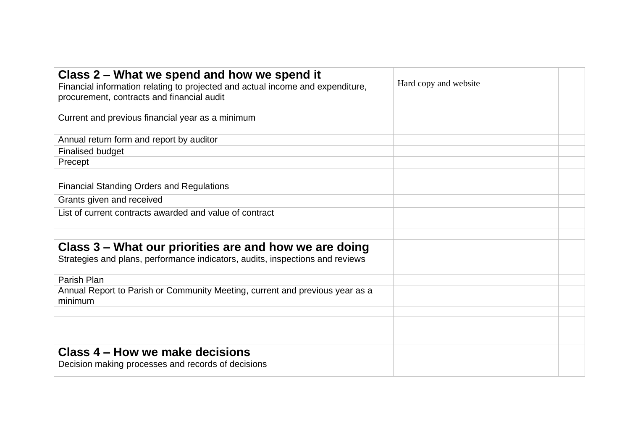| Class 2 – What we spend and how we spend it<br>Financial information relating to projected and actual income and expenditure,<br>procurement, contracts and financial audit | Hard copy and website |  |
|-----------------------------------------------------------------------------------------------------------------------------------------------------------------------------|-----------------------|--|
| Current and previous financial year as a minimum                                                                                                                            |                       |  |
| Annual return form and report by auditor                                                                                                                                    |                       |  |
| <b>Finalised budget</b>                                                                                                                                                     |                       |  |
| Precept                                                                                                                                                                     |                       |  |
|                                                                                                                                                                             |                       |  |
| <b>Financial Standing Orders and Regulations</b>                                                                                                                            |                       |  |
| Grants given and received                                                                                                                                                   |                       |  |
| List of current contracts awarded and value of contract                                                                                                                     |                       |  |
|                                                                                                                                                                             |                       |  |
|                                                                                                                                                                             |                       |  |
| Class 3 – What our priorities are and how we are doing                                                                                                                      |                       |  |
| Strategies and plans, performance indicators, audits, inspections and reviews                                                                                               |                       |  |
| Parish Plan                                                                                                                                                                 |                       |  |
| Annual Report to Parish or Community Meeting, current and previous year as a<br>minimum                                                                                     |                       |  |
|                                                                                                                                                                             |                       |  |
|                                                                                                                                                                             |                       |  |
|                                                                                                                                                                             |                       |  |
| Class 4 – How we make decisions<br>Decision making processes and records of decisions                                                                                       |                       |  |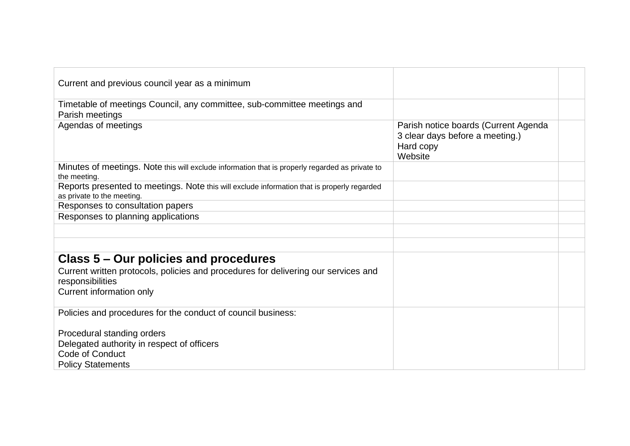| Current and previous council year as a minimum                                                                            |                                                                                                 |  |
|---------------------------------------------------------------------------------------------------------------------------|-------------------------------------------------------------------------------------------------|--|
| Timetable of meetings Council, any committee, sub-committee meetings and<br>Parish meetings                               |                                                                                                 |  |
| Agendas of meetings                                                                                                       | Parish notice boards (Current Agenda<br>3 clear days before a meeting.)<br>Hard copy<br>Website |  |
| Minutes of meetings. Note this will exclude information that is properly regarded as private to<br>the meeting.           |                                                                                                 |  |
| Reports presented to meetings. Note this will exclude information that is properly regarded<br>as private to the meeting. |                                                                                                 |  |
| Responses to consultation papers                                                                                          |                                                                                                 |  |
| Responses to planning applications                                                                                        |                                                                                                 |  |
|                                                                                                                           |                                                                                                 |  |
|                                                                                                                           |                                                                                                 |  |
| Class 5 – Our policies and procedures                                                                                     |                                                                                                 |  |
| Current written protocols, policies and procedures for delivering our services and<br>responsibilities                    |                                                                                                 |  |
| Current information only                                                                                                  |                                                                                                 |  |
| Policies and procedures for the conduct of council business:                                                              |                                                                                                 |  |
| Procedural standing orders                                                                                                |                                                                                                 |  |
| Delegated authority in respect of officers                                                                                |                                                                                                 |  |
| Code of Conduct                                                                                                           |                                                                                                 |  |
| <b>Policy Statements</b>                                                                                                  |                                                                                                 |  |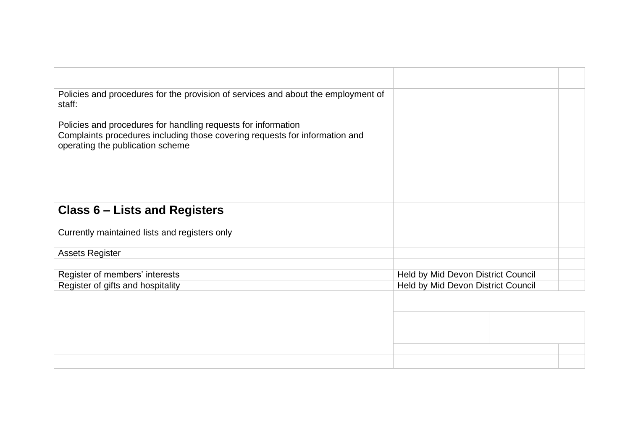| Policies and procedures for the provision of services and about the employment of<br>staff:                                                                                      |                                    |  |  |
|----------------------------------------------------------------------------------------------------------------------------------------------------------------------------------|------------------------------------|--|--|
| Policies and procedures for handling requests for information<br>Complaints procedures including those covering requests for information and<br>operating the publication scheme |                                    |  |  |
| <b>Class 6 – Lists and Registers</b>                                                                                                                                             |                                    |  |  |
| Currently maintained lists and registers only                                                                                                                                    |                                    |  |  |
| <b>Assets Register</b>                                                                                                                                                           |                                    |  |  |
|                                                                                                                                                                                  |                                    |  |  |
| Register of members' interests                                                                                                                                                   | Held by Mid Devon District Council |  |  |
| Register of gifts and hospitality                                                                                                                                                | Held by Mid Devon District Council |  |  |
|                                                                                                                                                                                  |                                    |  |  |
|                                                                                                                                                                                  |                                    |  |  |
|                                                                                                                                                                                  |                                    |  |  |
|                                                                                                                                                                                  |                                    |  |  |
|                                                                                                                                                                                  |                                    |  |  |
|                                                                                                                                                                                  |                                    |  |  |
|                                                                                                                                                                                  |                                    |  |  |